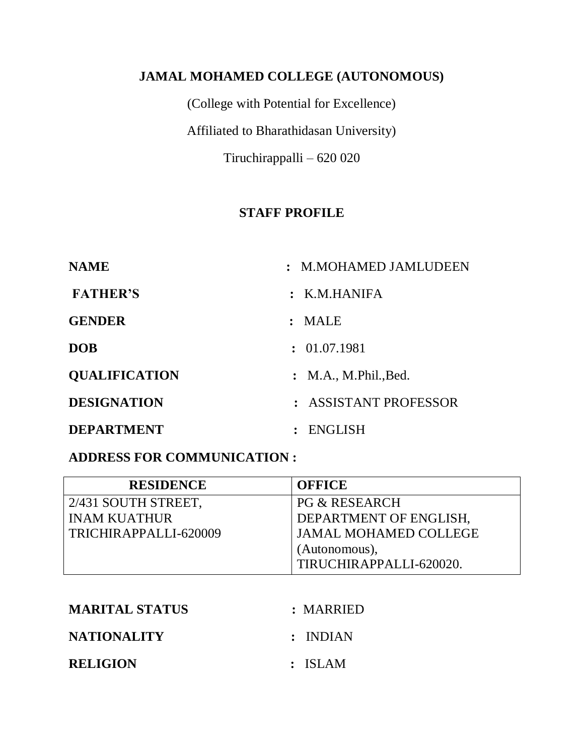## **JAMAL MOHAMED COLLEGE (AUTONOMOUS)**

(College with Potential for Excellence) Affiliated to Bharathidasan University) Tiruchirappalli – 620 020

## **STAFF PROFILE**

| <b>NAME</b>          | : M.MOHAMED JAMLUDEEN      |
|----------------------|----------------------------|
| <b>FATHER'S</b>      | $:$ K.M.HANIFA             |
| <b>GENDER</b>        | : MALE                     |
| <b>DOB</b>           | : 01.07.1981               |
| <b>QUALIFICATION</b> | : M.A., M. Phil., Bed.     |
| <b>DESIGNATION</b>   | <b>ASSISTANT PROFESSOR</b> |
| <b>DEPARTMENT</b>    | ENGLISH                    |

#### **ADDRESS FOR COMMUNICATION :**

| <b>RESIDENCE</b>      | <b>OFFICE</b>                |
|-----------------------|------------------------------|
| 2/431 SOUTH STREET,   | <b>PG &amp; RESEARCH</b>     |
| <b>INAM KUATHUR</b>   | DEPARTMENT OF ENGLISH,       |
| TRICHIRAPPALLI-620009 | <b>JAMAL MOHAMED COLLEGE</b> |
|                       | (Autonomous),                |
|                       | TIRUCHIRAPPALLI-620020.      |

| <b>MARITAL STATUS</b> | : MARRIED |
|-----------------------|-----------|
| <b>NATIONALITY</b>    | : INDIAN  |
| <b>RELIGION</b>       | : ISLAM   |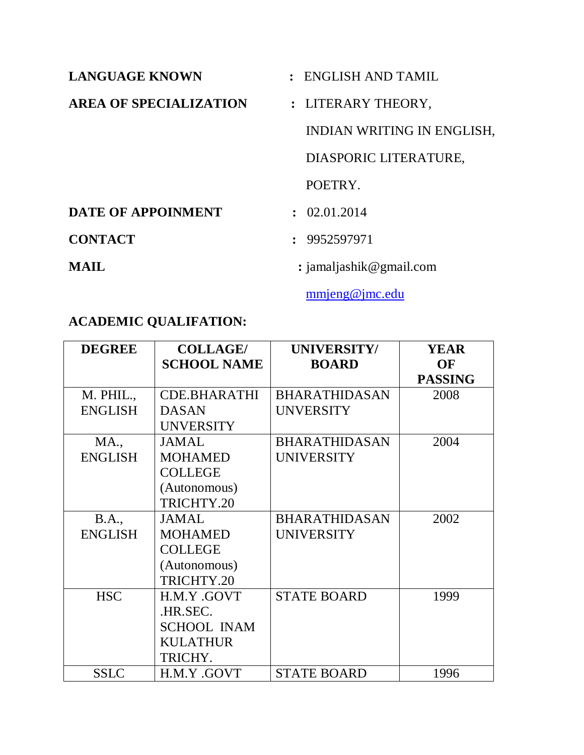| <b>LANGUAGE KNOWN</b>         | $:$ ENGLISH AND TAMIL      |
|-------------------------------|----------------------------|
| <b>AREA OF SPECIALIZATION</b> | : LITERARY THEORY,         |
|                               | INDIAN WRITING IN ENGLISH, |
|                               | DIASPORIC LITERATURE,      |
|                               | POETRY.                    |
| <b>DATE OF APPOINMENT</b>     | $\cdot$ 02.01.2014         |
| <b>CONTACT</b>                | : 9952597971               |
| <b>MAIL</b>                   | : jamaljashik@gmail.com    |

[mmjeng@jmc.edu](mailto:mmjeng@jmc.edu)

# **ACADEMIC QUALIFATION:**

| <b>DEGREE</b>  | <b>COLLAGE/</b>    | UNIVERSITY/          | <b>YEAR</b>    |
|----------------|--------------------|----------------------|----------------|
|                | <b>SCHOOL NAME</b> | <b>BOARD</b>         | OF             |
|                |                    |                      | <b>PASSING</b> |
| M. PHIL.,      | CDE.BHARATHI       | <b>BHARATHIDASAN</b> | 2008           |
| <b>ENGLISH</b> | <b>DASAN</b>       | <b>UNVERSITY</b>     |                |
|                | <b>UNVERSITY</b>   |                      |                |
| <b>MA.,</b>    | <b>JAMAL</b>       | <b>BHARATHIDASAN</b> | 2004           |
| <b>ENGLISH</b> | <b>MOHAMED</b>     | <b>UNIVERSITY</b>    |                |
|                | <b>COLLEGE</b>     |                      |                |
|                | (Autonomous)       |                      |                |
|                | TRICHTY.20         |                      |                |
| <b>B.A.</b> ,  | JAMAL              | <b>BHARATHIDASAN</b> | 2002           |
| <b>ENGLISH</b> | <b>MOHAMED</b>     | <b>UNIVERSITY</b>    |                |
|                | <b>COLLEGE</b>     |                      |                |
|                | (Autonomous)       |                      |                |
|                | TRICHTY.20         |                      |                |
| <b>HSC</b>     | H.M.Y.GOVT         | <b>STATE BOARD</b>   | 1999           |
|                | .HR.SEC.           |                      |                |
|                | <b>SCHOOL INAM</b> |                      |                |
|                | <b>KULATHUR</b>    |                      |                |
|                | TRICHY.            |                      |                |
| <b>SSLC</b>    | H.M.Y.GOVT         | <b>STATE BOARD</b>   | 1996           |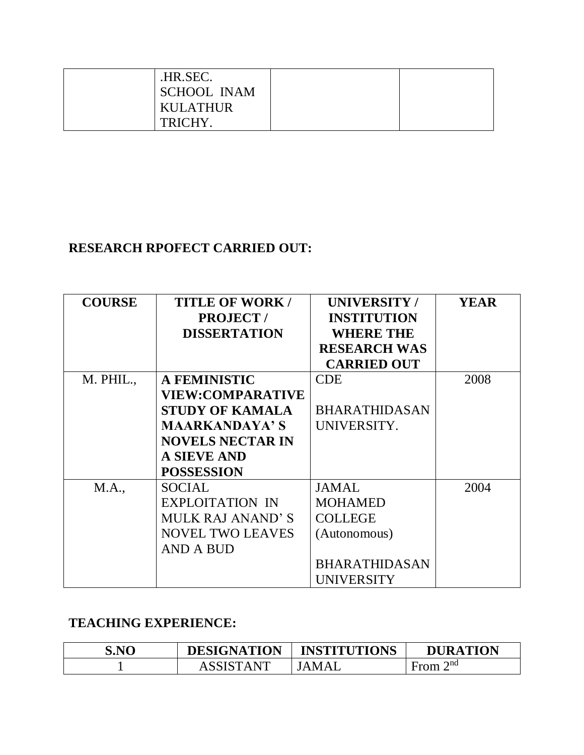| .HR.SEC.           |  |
|--------------------|--|
| <b>SCHOOL INAM</b> |  |
| <b>KULATHUR</b>    |  |
| TRICHY.            |  |

## **RESEARCH RPOFECT CARRIED OUT:**

| <b>COURSE</b> | <b>TITLE OF WORK/</b><br><b>PROJECT/</b><br><b>DISSERTATION</b> | <b>UNIVERSITY/</b><br><b>INSTITUTION</b><br><b>WHERE THE</b> | <b>YEAR</b> |
|---------------|-----------------------------------------------------------------|--------------------------------------------------------------|-------------|
|               |                                                                 | <b>RESEARCH WAS</b>                                          |             |
|               |                                                                 | <b>CARRIED OUT</b>                                           |             |
| M. PHIL.,     | <b>A FEMINISTIC</b>                                             | <b>CDE</b>                                                   | 2008        |
|               | <b>VIEW:COMPARATIVE</b>                                         |                                                              |             |
|               | <b>STUDY OF KAMALA</b>                                          | <b>BHARATHIDASAN</b>                                         |             |
|               | <b>MAARKANDAYA'S</b>                                            | UNIVERSITY.                                                  |             |
|               | <b>NOVELS NECTAR IN</b>                                         |                                                              |             |
|               | <b>A SIEVE AND</b>                                              |                                                              |             |
|               | <b>POSSESSION</b>                                               |                                                              |             |
| M.A.,         | <b>SOCIAL</b>                                                   | <b>JAMAL</b>                                                 | 2004        |
|               | <b>EXPLOITATION IN</b>                                          | <b>MOHAMED</b>                                               |             |
|               | <b>MULK RAJ ANAND'S</b>                                         | <b>COLLEGE</b>                                               |             |
|               | <b>NOVEL TWO LEAVES</b>                                         | (Autonomous)                                                 |             |
|               | <b>AND A BUD</b>                                                |                                                              |             |
|               |                                                                 | <b>BHARATHIDASAN</b>                                         |             |
|               |                                                                 | <b>UNIVERSITY</b>                                            |             |

## **TEACHING EXPERIENCE:**

| S.NO | <b>DESIGNATION</b> | <b>INSTITUTIONS</b> | <b>DURATION</b>     |
|------|--------------------|---------------------|---------------------|
|      | . A NT             | MAI<br>$\Delta$     | $\gamma$ nd<br>∙rom |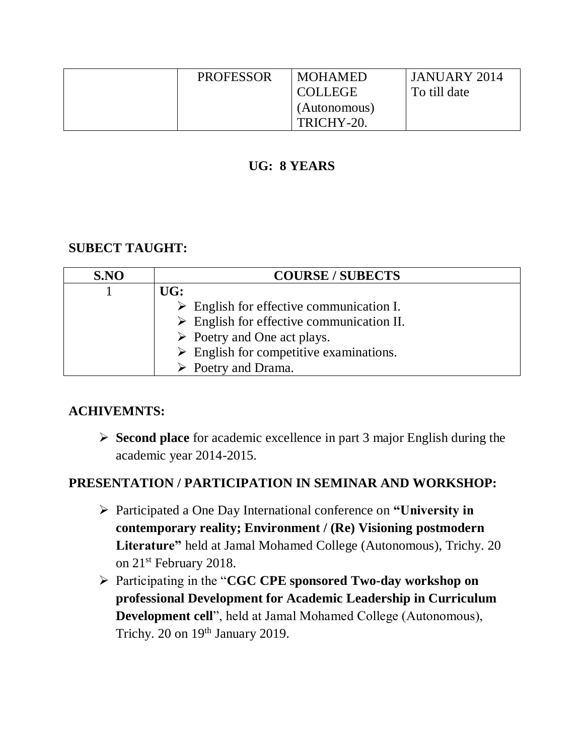| <b>PROFESSOR</b> | <b>MOHAMED</b> | <b>JANUARY 2014</b> |
|------------------|----------------|---------------------|
|                  | COLLEGE        | To till date        |
|                  | (Autonomous)   |                     |
|                  | TRICHY-20.     |                     |

#### **UG: 8 YEARS**

## **SUBECT TAUGHT:**

| S.NO | <b>COURSE / SUBECTS</b>                                  |  |
|------|----------------------------------------------------------|--|
|      | UG:                                                      |  |
|      | $\triangleright$ English for effective communication I.  |  |
|      | $\triangleright$ English for effective communication II. |  |
|      | $\triangleright$ Poetry and One act plays.               |  |
|      | $\triangleright$ English for competitive examinations.   |  |
|      | $\triangleright$ Poetry and Drama.                       |  |

#### **ACHIVEMNTS:**

 **Second place** for academic excellence in part 3 major English during the academic year 2014-2015.

#### **PRESENTATION / PARTICIPATION IN SEMINAR AND WORKSHOP:**

- Participated a One Day International conference on **"University in contemporary reality; Environment / (Re) Visioning postmodern Literature"** held at Jamal Mohamed College (Autonomous), Trichy. 20 on 21st February 2018.
- Participating in the "**CGC CPE sponsored Two-day workshop on professional Development for Academic Leadership in Curriculum Development cell**", held at Jamal Mohamed College (Autonomous), Trichy. 20 on 19<sup>th</sup> January 2019.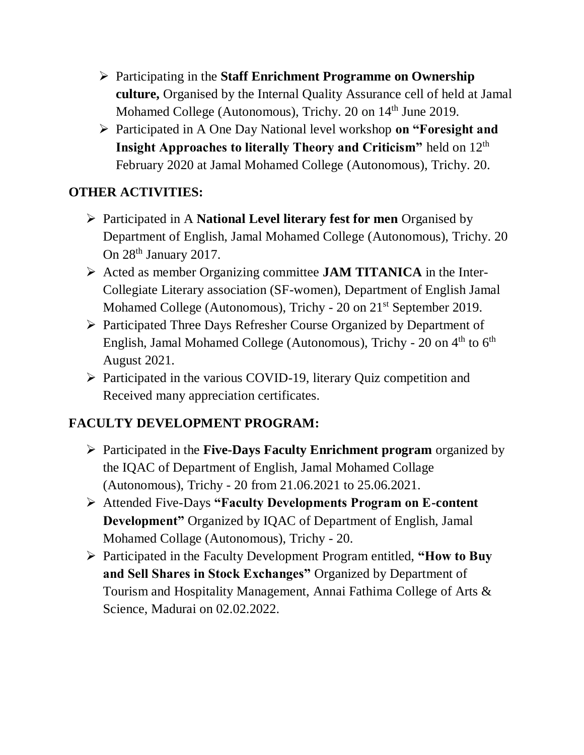- Participating in the **Staff Enrichment Programme on Ownership culture,** Organised by the Internal Quality Assurance cell of held at Jamal Mohamed College (Autonomous), Trichy. 20 on 14<sup>th</sup> June 2019.
- Participated in A One Day National level workshop **on "Foresight and Insight Approaches to literally Theory and Criticism"** held on 12<sup>th</sup> February 2020 at Jamal Mohamed College (Autonomous), Trichy. 20.

# **OTHER ACTIVITIES:**

- Participated in A **National Level literary fest for men** Organised by Department of English, Jamal Mohamed College (Autonomous), Trichy. 20 On 28<sup>th</sup> January 2017.
- Acted as member Organizing committee **JAM TITANICA** in the Inter-Collegiate Literary association (SF-women), Department of English Jamal Mohamed College (Autonomous), Trichy - 20 on 21st September 2019.
- Participated Three Days Refresher Course Organized by Department of English, Jamal Mohamed College (Autonomous), Trichy - 20 on  $4<sup>th</sup>$  to  $6<sup>th</sup>$ August 2021.
- Participated in the various COVID-19, literary Quiz competition and Received many appreciation certificates.

# **FACULTY DEVELOPMENT PROGRAM:**

- Participated in the **Five-Days Faculty Enrichment program** organized by the IQAC of Department of English, Jamal Mohamed Collage (Autonomous), Trichy - 20 from 21.06.2021 to 25.06.2021.
- Attended Five-Days **"Faculty Developments Program on E-content Development"** Organized by IQAC of Department of English, Jamal Mohamed Collage (Autonomous), Trichy - 20.
- Participated in the Faculty Development Program entitled, **"How to Buy and Sell Shares in Stock Exchanges"** Organized by Department of Tourism and Hospitality Management, Annai Fathima College of Arts & Science, Madurai on 02.02.2022.